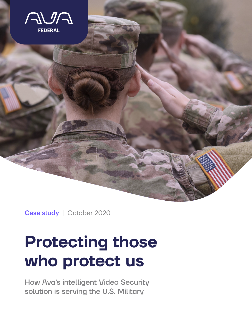

Case study | October 2020

# **Protecting those who protect us**

How Ava's intelligent Video Security solution is serving the U.S. Military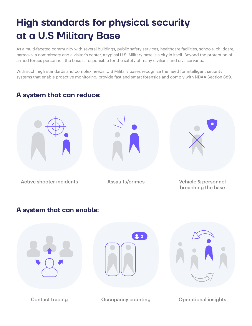## **High standards for physical security at a U.S Military Base**

As a multi-faceted community with several buildings, public safety services, healthcare facilities, schools, childcare, barracks, a commissary and a visitor's center, a typical U.S. Military base is a city in itself. Beyond the protection of armed forces personnel, the base is responsible for the safety of many civilians and civil servants.

With such high standards and complex needs, U.S Military bases recognize the need for intelligent security systems that enable proactive monitoring, provide fast and smart forensics and comply with NDAA Section 889.

### **A system that can reduce:**



### **A system that can enable:**

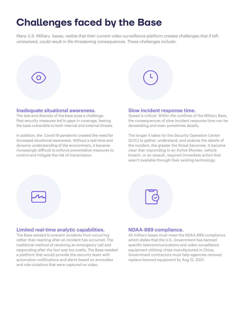## **Challenges faced by the Base**

Many U.S. Military bases, realize that their current video surveillance platform creates challenges that if left unresolved, could result in life-threatening consequences. These challenges include:



#### Inadequate situational awareness.

The size and diversity of the base pose a challenge. Past security measures led to gaps in coverage, leaving the base vulnerable to both internal and external threats.

In addition, the Covid-19 pandemic created the need for increased situational awareness. Without a real-time and dynamic understanding of the environment, it became increasingly difficult to enforce preventative measures to control and mitigate the risk of transmission.



Speed is critical. Within the confines of the Military Base, the consequences of slow incident response time can be devastating and even sometimes deadly.

The longer it takes for the Security Operation Center (SOC) to gather, understand, and analyze the details of the incident, the greater the threat becomes. It became clear that responding to an Active Shooter, vehicle breach, or an assault, required immediate action that wasn't available through their existing technology.





#### Limited real-time analytic capabilities.

The Base wanted to prevent incidents from occurring rather than reacting after an incident has occurred. The traditional method of receiving an emergency call and responding after the fact was too costly, The Base needed a platform that would provide the security team with automation notifications and alerts based on anomalies and rule-violations that were captured on video.

#### NDAA-889 compliance.

All military bases must meet the NDAA-889 compliance which states that the U.S. Government has banned specific telecommunications and video surveillance equipment utilizing chips manufactured in China. Government contractors must help agencies remove/ replace banned equipment by Aug 12, 2021.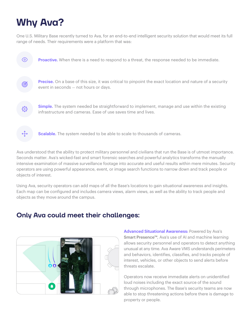## **Why Ava?**

One U.S. Military Base recently turned to Ava, for an end-to-end intelligent security solution that would meet its full range of needs. Their requirements were a platform that was:



Ava understood that the ability to protect military personnel and civilians that run the Base is of utmost importance. Seconds matter. Ava's wicked-fast and smart forensic searches and powerful analytics transforms the manually intensive examination of massive surveillance footage into accurate and useful results within mere minutes. Security operators are using powerful appearance, event, or image search functions to narrow down and track people or objects of interest.

Using Ava, security operators can add maps of all the Base's locations to gain situational awareness and insights. Each map can be configured and includes camera views, alarm views, as well as the ability to track people and objects as they move around the campus.

### **Only Ava could meet their challenges:**



Advanced Situational Awareness: Powered by Ava's Smart Presence™, Ava's use of AI and machine learning allows security personnel and operators to detect anything unusual at any time. Ava Aware VMS understands perimeters and behaviors, identifies, classifies, and tracks people of interest, vehicles, or other objects to send alerts before threats escalate.

Operators now receive immediate alerts on unidentified loud noises including the exact source of the sound through microphones. The Base's security teams are now able to stop threatening actions before there is damage to property or people.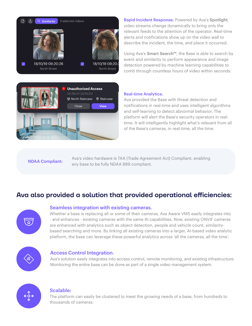

**Unauthorized Access** 06:58:20 26/10/20 ত্ত North Staircase © Staircase Close View

Rapid Incident Response: Powered by Ava's Spotlight, video streams change dynamically to bring only the relevant feeds to the attention of the operator. Real-time alerts and notifications show up on the video wall to describe the incident, the time, and place it occurred.

Using Ava's Smart Search™, the Base is able to search by event and similarity to perform appearance and image detection powered by machine learning capabilities to comb through countless hours of video within seconds.

#### Real-time Analytics:

Ava provided the Base with threat detection and notifications in real-time and uses intelligent algorithms and self-learning to detect abnormal behavior. The platform will alert the Base's security operators in realtime. It will intelligently highlight what's relevant from all of the Base's cameras, in real-time, all the time.

Ava's video hardware is TAA (Trade Agreement Act) Compliant, enabling **NDAA Compliant:** Ava sixuded hardware is TAA (Trade Agreer)<br>any base to be fully NDAA 889 compliant.

### **Ava also provided a solution that provided operational efficiencies:**



#### Seamless integration with existing cameras.

Whether a base is replacing all or some of their cameras, Ava Aware VMS easily integrates into - and enhances - existing cameras with the same AI capabilities. Now, existing ONVIF cameras are enhanced with analytics such as object detection, people and vehicle count, similaritybased searching and more. By linking all existing cameras into a larger, AI-based video analytic platform, the base can leverage these powerful analytics across 'all the cameras, all the time'.



#### Access Control Integration.

Ava's solution easily integrates into access control, remote monitoring, and existing infrastructure. Monitoring the entire base can be done as part of a single video management system.



#### Scalable:

The platform can easily be clustered to meet the growing needs of a base, from hundreds to thousands of cameras.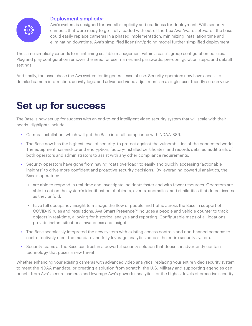

#### Deployment simplicity:

Ava's system is designed for overall simplicity and readiness for deployment. With security cameras that were ready to go - fully loaded with out-of-the-box Ava Aware software - the base could easily replace cameras in a phased implementation, minimizing installation time and eliminating downtime. Ava's simplified licensing/pricing model further simplified deployment.

The same simplicity extends to maintaining scalable management within a base's group configuration policies. Plug and play configuration removes the need for user names and passwords, pre-configuration steps, and default settings.

And finally, the base chose the Ava system for its general ease of use. Security operators now have access to detailed camera information, activity logs, and advanced video adjustments in a single, user-friendly screen view.

## **Set up for success**

The Base is now set up for success with an end-to-end intelligent video security system that will scale with their needs. Highlights include:

- Camera installation, which will put the Base into full compliance with NDAA-889.
- The Base now has the highest level of security, to protect against the vulnerabilities of the connected world. The equipment has end-to-end encryption, factory-installed certificates, and records detailed audit trails of both operators and administrators to assist with any other compliance requirements.
- Security operators have gone from having "data overload" to easily and quickly accessing "actionable insights" to drive more confident and proactive security decisions. By leveraging powerful analytics, the Base's operators:
	- are able to respond in real-time and investigate incidents faster and with fewer resources. Operators are able to act on the system's identification of objects, events, anomalies, and similarities that detect issues as they unfold.
	- have full occupancy insight to manage the flow of people and traffic across the Base in support of COVID-19 rules and regulations. Ava Smart Presence™ includes a people and vehicle counter to track objects in real-time, allowing for historical analysis and reporting. Configurable maps of all locations provide instant situational awareness and insights.
- The Base seamlessly integrated the new system with existing access controls and non-banned cameras to cost-effectively meet the mandate and fully leverage analytics across the entire security system.
- Security teams at the Base can trust in a powerful security solution that doesn't inadvertently contain technology that poses a new threat.

Whether enhancing your existing cameras with advanced video analytics, replacing your entire video security system to meet the NDAA mandate, or creating a solution from scratch, the U.S. Military and supporting agencies can benefit from Ava's secure cameras and leverage Ava's powerful analytics for the highest levels of proactive security.